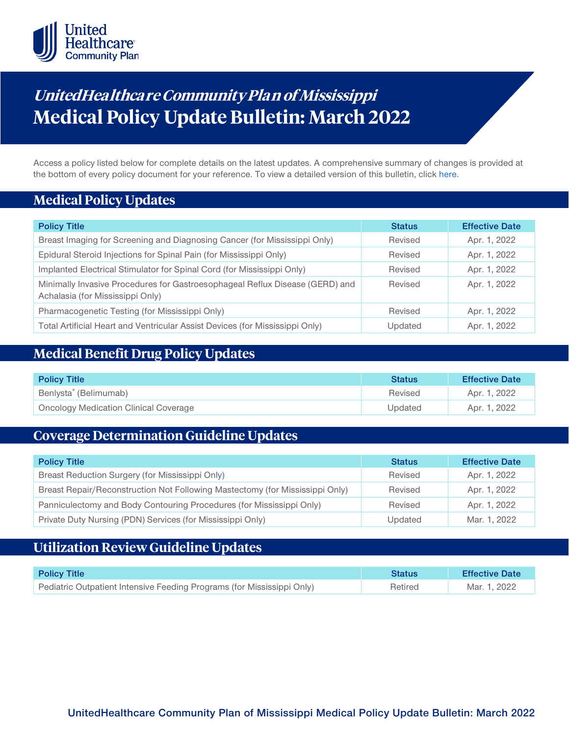

# **UnitedHealthca re Community Plan of Mississippi Medical Policy Update Bulletin: March 2022**

Access a policy listed below for complete details on the latest updates. A comprehensive summary of changes is provided at the bottom of every policy document for your reference. To view a detailed version of this bulletin, clic[k here.](https://www.uhcprovider.com/content/dam/provider/docs/public/policies/mpub-archives/comm-plan/ms/community-plan-ms-medical-policy-update-bulletin-march-2022-full.pdf)

## **Medical Policy Updates**

| <b>Policy Title</b>                                                                                              | <b>Status</b> | <b>Effective Date</b> |
|------------------------------------------------------------------------------------------------------------------|---------------|-----------------------|
| Breast Imaging for Screening and Diagnosing Cancer (for Mississippi Only)                                        | Revised       | Apr. 1, 2022          |
| Epidural Steroid Injections for Spinal Pain (for Mississippi Only)                                               | Revised       | Apr. 1, 2022          |
| Implanted Electrical Stimulator for Spinal Cord (for Mississippi Only)                                           | Revised       | Apr. 1, 2022          |
| Minimally Invasive Procedures for Gastroesophageal Reflux Disease (GERD) and<br>Achalasia (for Mississippi Only) | Revised       | Apr. 1, 2022          |
| Pharmacogenetic Testing (for Mississippi Only)                                                                   | Revised       | Apr. 1, 2022          |
| Total Artificial Heart and Ventricular Assist Devices (for Mississippi Only)                                     | Updated       | Apr. 1, 2022          |

# **Medical Benefit Drug Policy Updates**

| <b>Policy Title</b>                          | <b>Status</b> | <b>Effective Date</b> |
|----------------------------------------------|---------------|-----------------------|
| Benlysta <sup>®</sup> (Belimumab)            | Revised       | Apr. 1, 2022          |
| <b>Oncology Medication Clinical Coverage</b> | Updated       | Apr. 1, 2022          |

# **Coverage Determination Guideline Updates**

| <b>Policy Title</b>                                                          | <b>Status</b> | <b>Effective Date</b> |
|------------------------------------------------------------------------------|---------------|-----------------------|
| Breast Reduction Surgery (for Mississippi Only)                              | Revised       | Apr. 1, 2022          |
| Breast Repair/Reconstruction Not Following Mastectomy (for Mississippi Only) | Revised       | Apr. 1, 2022          |
| Panniculectomy and Body Contouring Procedures (for Mississippi Only)         | Revised       | Apr. 1, 2022          |
| Private Duty Nursing (PDN) Services (for Mississippi Only)                   | Updated       | Mar. 1, 2022          |

# **Utilization Review Guideline Updates**

| <b>Policy Title</b>                                                    | <b>Status</b> | <b>Effective Date</b> |
|------------------------------------------------------------------------|---------------|-----------------------|
| Pediatric Outpatient Intensive Feeding Programs (for Mississippi Only) | Retired       | Mar. 1, 2022          |